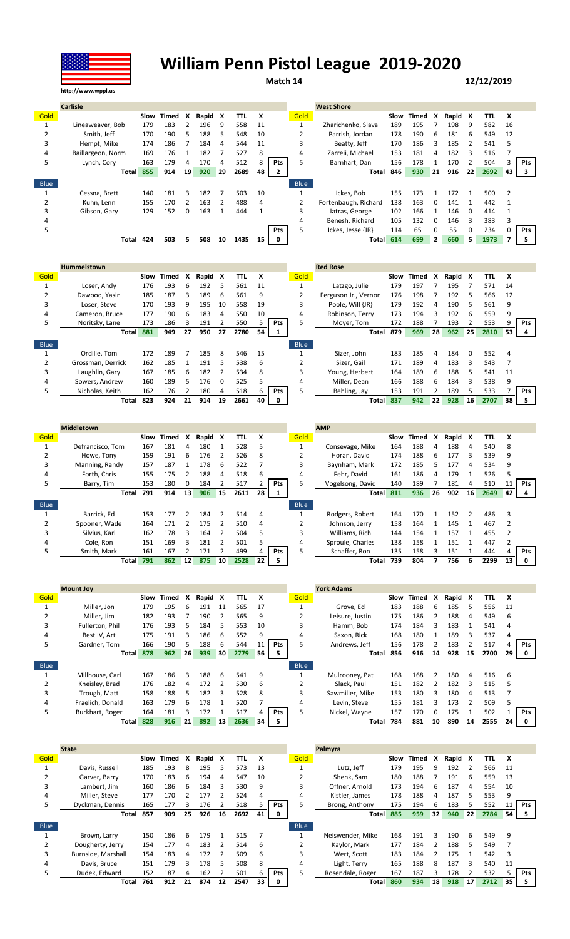

## **William Penn Pistol League 2019-2020**

**Match 14 12/12/2019**

|      | <b>Carlisle</b>   |      |       |    |       |    |      |    |            |                | <b>West Shore</b>    |      |       |              |         |          |      |    |     |
|------|-------------------|------|-------|----|-------|----|------|----|------------|----------------|----------------------|------|-------|--------------|---------|----------|------|----|-----|
| Gold |                   | Slow | Timed | x  | Rapid | X  | TTL  | x  |            | Gold           |                      | Slow | Timed | X            | Rapid X |          | TTL  | x  |     |
|      | Lineaweaver, Bob  | 179  | 183   |    | 196   | 9  | 558  | 11 |            |                | Zharichenko, Slava   | 189  | 195   |              | 198     | -9       | 582  | 16 |     |
|      | Smith. Jeff       | 170  | 190   | 5  | 188   | 5. | 548  | 10 |            |                | Parrish, Jordan      | 178  | 190   | 6            | 181     | 6        | 549  | 12 |     |
| 3    | Hempt, Mike       | 174  | 186   |    | 184   | 4  | 544  | 11 |            |                | Beatty, Jeff         | 170  | 186   |              | 185     |          | 541  |    |     |
| 4    | Baillargeon, Norm | 169  | 176   |    | 182   |    | 527  | 8  |            | 4              | Zarreii, Michael     | 153  | 181   | 4            | 182     | 3        | 516  |    |     |
| 5    | Lynch, Cory       | 163  | 179   | 4  | 170   | 4  | 512  |    | <b>Pts</b> |                | Barnhart, Dan        | 156  | 178   |              | 170     |          | 504  |    | Pts |
|      | Total             | 855  | 914   | 19 | 920   | 29 | 2689 | 48 |            |                | Total                | 846  | 930   | 21           | 916     | 22       | 2692 | 43 |     |
| Blue |                   |      |       |    |       |    |      |    |            | <b>Blue</b>    |                      |      |       |              |         |          |      |    |     |
|      | Cessna, Brett     | 140  | 181   | 3  | 182   |    | 503  | 10 |            |                | Ickes, Bob           | 155  | 173   |              | 172     |          | 500  |    |     |
|      | Kuhn. Lenn        | 155  | 170   |    | 163   |    | 488  | 4  |            | $\overline{2}$ | Fortenbaugh, Richard | 138  | 163   |              | 141     |          | 442  |    |     |
|      | Gibson, Gary      | 129  | 152   | 0  | 163   |    | 444  |    |            |                | Jatras, George       | 102  | 166   |              | 146     | $\Omega$ | 414  |    |     |
|      |                   |      |       |    |       |    |      |    |            |                | Benesh, Richard      | 105  | 132   |              | 146     | 3        | 383  |    |     |
|      |                   |      |       |    |       |    |      |    | Pts        |                | Ickes, Jesse {JR}    | 114  | 65    |              | 55      | 0        | 234  |    | Pts |
|      | Total             | 424  | 503   | 5  | 508   | 10 | 1435 | 15 | 0          |                | Total                | 614  | 699   | $\mathbf{2}$ | 660     | 5.       | 1973 |    | 5.  |

|             | <b>Hummelstown</b> |      |       |    |       |               |      |    |     |             | <b>Red Rose</b>      |      |       |    |       |    |      |    |            |
|-------------|--------------------|------|-------|----|-------|---------------|------|----|-----|-------------|----------------------|------|-------|----|-------|----|------|----|------------|
| Gold        |                    | Slow | Timed | x  | Rapid | X             | TTL  | X  |     | Gold        |                      | Slow | Timed | X  | Rapid | x  | TΤL  | x  |            |
|             | Loser, Andy        | 176  | 193   | 6  | 192   | 5             | 561  | 11 |     |             | Latzgo, Julie        | 179  | 197   |    | 195   |    | 571  | 14 |            |
|             | Dawood, Yasin      | 185  | 187   | 3  | 189   | 6             | 561  | 9  |     |             | Ferguson Jr., Vernon | 176  | 198   |    | 192   | 5  | 566  | 12 |            |
| 3           | Loser. Steve       | 170  | 193   | q  | 195   | 10            | 558  | 19 |     | 3           | Poole. Will {JR}     | 179  | 192   | 4  | 190   | 5  | 561  | 9  |            |
| 4           | Cameron, Bruce     | 177  | 190   | 6  | 183   | 4             | 550  | 10 |     | 4           | Robinson, Terry      | 173  | 194   | 3  | 192   | 6  | 559  | 9  |            |
| 5           | Noritsky, Lane     | 173  | 186   | 3  | 191   |               | 550  |    | Pts | 5.          | Moyer, Tom           | 172  | 188   |    | 193   |    | 553  |    | Pts        |
|             | <b>Total</b>       | 881  | 949   | 27 | 950   | 27            | 2780 | 54 |     |             | Total                | 879  | 969   | 28 | 962   | 25 | 2810 | 53 | 4          |
| <b>Blue</b> |                    |      |       |    |       |               |      |    |     | <b>Blue</b> |                      |      |       |    |       |    |      |    |            |
|             | Ordille. Tom       | 172  | 189   |    | 185   | 8             | 546  | 15 |     |             | Sizer. John          | 183  | 185   | 4  | 184   | 0  | 552  |    |            |
|             | Grossman, Derrick  | 162  | 185   |    | 191   | 5             | 538  | 6  |     |             | Sizer. Gail          | 171  | 189   | 4  | 183   | 3  | 543  |    |            |
| 3           | Laughlin, Gary     | 167  | 185   | 6  | 182   | $\mathcal{P}$ | 534  | 8  |     | 3           | Young, Herbert       | 164  | 189   | 6  | 188   |    | 541  | 11 |            |
| 4           | Sowers, Andrew     | 160  | 189   | 5  | 176   | $\Omega$      | 525  | כ  |     | 4           | Miller, Dean         | 166  | 188   | 6  | 184   | 3  | 538  |    |            |
| 5           | Nicholas, Keith    | 162  | 176   |    | 180   | 4             | 518  | 6  | Pts | 5           | Behling, Jay         | 153  | 191   |    | 189   | 5  | 533  |    | <b>Pts</b> |
|             | Total              | 823  | 924   | 21 | 914   | 19            | 2661 | 40 |     |             | <b>Total</b>         | 837  | 942   | 22 | 928   | 16 | 2707 | 38 | 5          |

|             | <b>Middletown</b> |      |       |    |       |    |      |    |            |             | <b>AMP</b>       |      |       |    |         |                 |            |    |            |
|-------------|-------------------|------|-------|----|-------|----|------|----|------------|-------------|------------------|------|-------|----|---------|-----------------|------------|----|------------|
| Gold        |                   | Slow | Timed | x  | Rapid | X  | TTL  | x  |            | Gold        |                  | Slow | Timed | X  | Rapid X |                 | <b>TTL</b> | X  |            |
|             | Defrancisco, Tom  | 167  | 181   | 4  | 180   |    | 528  | 5  |            |             | Consevage, Mike  | 164  | 188   | 4  | 188     | 4               | 540        | 8  |            |
|             | Howe. Tony        | 159  | 191   | 6  | 176   |    | 526  | 8  |            |             | Horan, David     | 174  | 188   | 6  | 177     |                 | 539        | 9  |            |
| 3           | Manning, Randy    | 157  | 187   |    | 178   | 6  | 522  |    |            |             | Baynham, Mark    | 172  | 185   | 5  | 177     | 4               | 534        | 9  |            |
| 4           | Forth, Chris      | 155  | 175   |    | 188   | 4  | 518  | 6  |            | 4           | Fehr. David      | 161  | 186   | Δ  | 179     |                 | 526        |    |            |
| 5           | Barry, Tim        | 153  | 180   | 0  | 184   |    | 517  |    | <b>Pts</b> |             | Vogelsong, David | 140  | 189   |    | 181     | 4               | 510        |    | <b>Pts</b> |
|             | Total             | 791  | 914   | 13 | 906   | 15 | 2611 | 28 |            |             | <b>Total</b>     | 811  | 936   | 26 | 902     | 16 <sub>1</sub> | 2649       | 42 |            |
|             |                   |      |       |    |       |    |      |    |            |             |                  |      |       |    |         |                 |            |    |            |
| <b>Blue</b> |                   |      |       |    |       |    |      |    |            | <b>Blue</b> |                  |      |       |    |         |                 |            |    |            |
|             | Barrick. Ed       | 153  | 177   |    | 184   |    | 514  | 4  |            |             | Rodgers, Robert  | 164  | 170   |    | 152     | $\mathcal{P}$   | 486        | 3  |            |
|             | Spooner, Wade     | 164  | 171   |    | 175   |    | 510  | 4  |            |             | Johnson, Jerry   | 158  | 164   |    | 145     |                 | 467        |    |            |
| 3           | Silvius, Karl     | 162  | 178   | 3  | 164   |    | 504  | 5  |            | 3           | Williams, Rich   | 144  | 154   |    | 157     |                 | 455        |    |            |
| 4           | Cole, Ron         | 151  | 169   | 3  | 181   |    | 501  |    |            | 4           | Sproule, Charles | 138  | 158   |    | 151     |                 | 447        |    |            |
| 5           | Smith, Mark       | 161  | 167   |    | 171   |    | 499  |    | Pts        |             | Schaffer, Ron    | 135  | 158   |    | 151     |                 | 444        |    | Pts        |

|             | <b>Mount Joy</b> |      |       |    |       |    |            |    |            |             | <b>York Adams</b> |      |       |    |         |    |      |    |            |
|-------------|------------------|------|-------|----|-------|----|------------|----|------------|-------------|-------------------|------|-------|----|---------|----|------|----|------------|
| Gold        |                  | Slow | Timed | X  | Rapid | X  | <b>TTL</b> | X  |            | Gold        |                   | Slow | Timed | X  | Rapid X |    | TTL  | X  |            |
|             | Miller, Jon      | 179  | 195   | 6  | 191   | 11 | 565        | 17 |            |             | Grove. Ed         | 183  | 188   | 6  | 185     | 5  | 556  | 11 |            |
|             | Miller, Jim      | 182  | 193   |    | 190   |    | 565        | 9  |            |             | Leisure, Justin   | 175  | 186   |    | 188     | 4  | 549  | -6 |            |
| 3           | Fullerton, Phil  | 176  | 193   | 5  | 184   | 5  | 553        | 10 |            | 3           | Hamm, Bob         | 174  | 184   | ₹  | 183     |    | 541  | 4  |            |
| 4           | Best IV, Art     | 175  | 191   | 3  | 186   | 6  | 552        | 9  |            | 4           | Saxon, Rick       | 168  | 180   |    | 189     | 3  | 537  | 4  |            |
| כ           | Gardner, Tom     | 166  | 190   | 5  | 188   | 6  | 544        | 11 | <b>Pts</b> |             | Andrews, Jeff     | 156  | 178   |    | 183     |    | 517  | 4  | <b>Pts</b> |
|             | <b>Total</b>     | 878  | 962   | 26 | 939   | 30 | 2779       | 56 | 5.         |             | Total             | 856  | 916   | 14 | 928     | 15 | 2700 | 29 | 0          |
|             |                  |      |       |    |       |    |            |    |            |             |                   |      |       |    |         |    |      |    |            |
| <b>Blue</b> |                  |      |       |    |       |    |            |    |            | <b>Blue</b> |                   |      |       |    |         |    |      |    |            |
|             | Millhouse, Carl  | 167  | 186   | 3  | 188   | 6  | 541        | 9  |            |             | Mulrooney, Pat    | 168  | 168   |    | 180     | 4  | 516  | -6 |            |
|             | Kneisley, Brad   | 176  | 182   | 4  | 172   |    | 530        | 6  |            |             | Slack. Paul       | 151  | 182   |    | 182     | 3  | 515  |    |            |
| 3           | Trough, Matt     | 158  | 188   | 5  | 182   | 3  | 528        | 8  |            | 3           | Sawmiller, Mike   | 153  | 180   | ર  | 180     | 4  | 513  |    |            |
| 4           | Fraelich, Donald | 163  | 179   | 6  | 178   |    | 520        |    |            | 4           | Levin. Steve      | 155  | 181   |    | 173     |    | 509  |    |            |
| 5           | Burkhart, Roger  | 164  | 181   | 3  | 172   |    | 517        |    | <b>Pts</b> |             | Nickel, Wayne     | 157  | 170   | n  | 175     |    | 502  |    | <b>Pts</b> |

|             | <b>State</b>       |      |       |    |       |    |      |    |             |             | Palmyra          |      |       |    |         |    |      |    |            |
|-------------|--------------------|------|-------|----|-------|----|------|----|-------------|-------------|------------------|------|-------|----|---------|----|------|----|------------|
| Gold        |                    | Slow | Timed | x  | Rapid | X  | TTL  | x  |             | Gold        |                  | Slow | Timed | x  | Rapid X |    | TTL  | x  |            |
|             | Davis, Russell     | 185  | 193   | 8  | 195   | 5. | 573  | 13 |             |             | Lutz. Jeff       | 179  | 195   | q  | 192     |    | 566  | 11 |            |
|             | Garver, Barry      | 170  | 183   | 6  | 194   | 4  | 547  | 10 |             |             | Shenk. Sam       | 180  | 188   |    | 191     | 6  | 559  | 13 |            |
|             | Lambert. Jim       | 160  | 186   | 6  | 184   | 3  | 530  | 9  |             | 3           | Offner, Arnold   | 173  | 194   | 6  | 187     | 4  | 554  | 10 |            |
| 4           | Miller, Steve      | 177  | 170   |    | 177   |    | 524  | 4  |             | 4           | Kistler, James   | 178  | 188   | 4  | 187     |    | 553  | 9  |            |
|             | Dyckman, Dennis    | 165  | 177   |    | 176   |    | 518  |    | Pts         | 5           | Brong, Anthony   | 175  | 194   | b  | 183     |    | 552  | 11 | <b>Pts</b> |
|             | Total              | 857  | 909   | 25 | 926   | 16 | 2692 | 41 | $\mathbf 0$ |             | <b>Total</b>     | 885  | 959   | 32 | 940     | 22 | 2784 | 54 |            |
| <b>Blue</b> |                    |      |       |    |       |    |      |    |             | <b>Blue</b> |                  |      |       |    |         |    |      |    |            |
|             | Brown, Larry       | 150  | 186   | 6  | 179   |    | 515  |    |             |             | Neiswender, Mike | 168  | 191   | 3  | 190     | 6  | 549  | 9  |            |
|             | Dougherty, Jerry   | 154  | 177   |    | 183   |    | 514  | 6  |             |             | Kaylor, Mark     | 177  | 184   |    | 188     |    | 549  |    |            |
| 3           | Burnside, Marshall | 154  | 183   | 4  | 172   |    | 509  | 6  |             | 3           | Wert. Scott      | 183  | 184   |    | 175     |    | 542  | 3  |            |
|             | Davis, Bruce       | 151  | 179   |    | 178   | 5  | 508  | 8  |             | 4           | Light, Terry     | 165  | 188   | 8  | 187     |    | 540  | 11 |            |
|             | Dudek, Edward      | 152  | 187   | 4  | 162   |    | 501  | 6  | Pts         | 5           | Rosendale, Roger | 167  | 187   |    | 178     |    | 532  |    | <b>Pts</b> |
|             | Total              | 761  |       |    |       |    |      | 33 |             |             |                  |      |       |    |         |    |      | 35 |            |